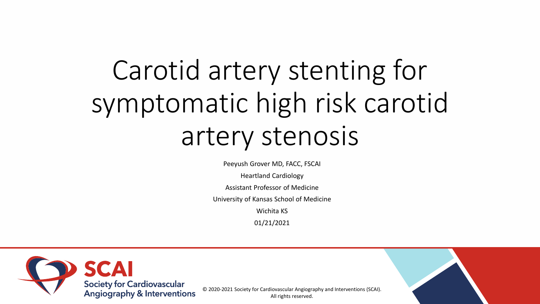# Carotid artery stenting for symptomatic high risk carotid artery stenosis

Peeyush Grover MD, FACC, FSCAI

Heartland Cardiology

Assistant Professor of Medicine

University of Kansas School of Medicine

Wichita KS

01/21/2021



© 2020-2021 Society for Cardiovascular Angiography and Interventions (SCAI). All rights reserved.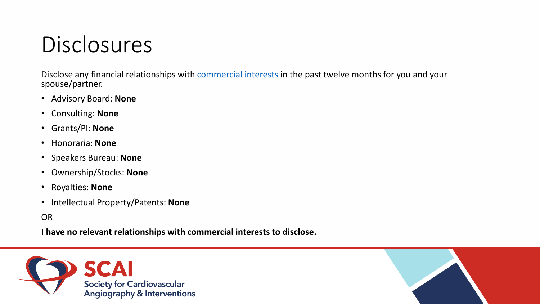### Disclosures

Disclose any financial relationships with [commercial interests](https://accme.org/accreditation-rules/policies/definition-commercial-interest) in the past twelve months for you and your spouse/partner.

- Advisory Board: **None**
- Consulting: **None**
- Grants/PI: **None**
- Honoraria: **None**
- Speakers Bureau: **None**
- Ownership/Stocks: **None**
- Royalties: **None**
- Intellectual Property/Patents: **None**

OR

**I have no relevant relationships with commercial interests to disclose.**



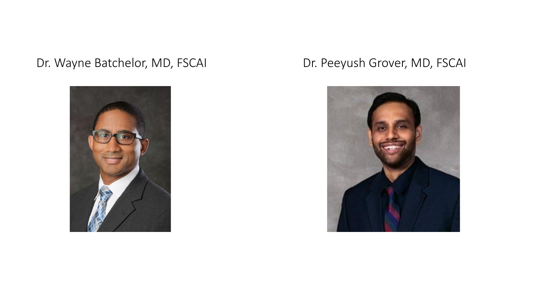### Dr. Wayne Batchelor, MD, FSCAI Dr. Peeyush Grover, MD, FSCAI



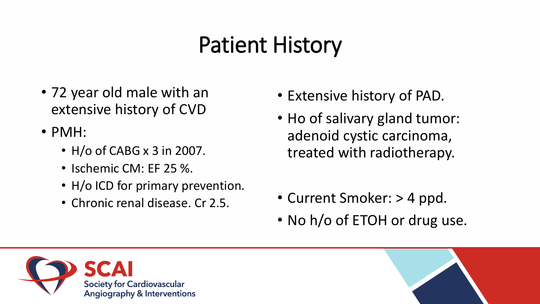### Patient History

- 72 year old male with an extensive history of CVD
- PMH:
	- H/o of CABG x 3 in 2007.
	- Ischemic CM: EF 25 %.
	- H/o ICD for primary prevention.
	- Chronic renal disease. Cr 2.5.
- Extensive history of PAD.
- Ho of salivary gland tumor: adenoid cystic carcinoma, treated with radiotherapy.
- Current Smoker: > 4 ppd.
- No h/o of ETOH or drug use.



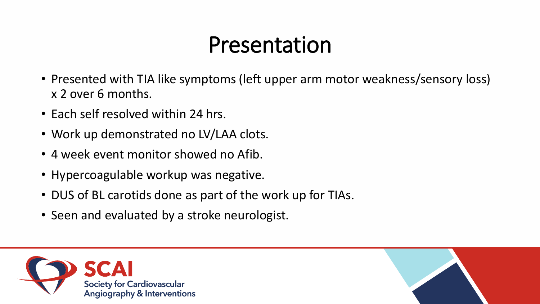### Presentation

- Presented with TIA like symptoms (left upper arm motor weakness/sensory loss) x 2 over 6 months.
- Each self resolved within 24 hrs.
- Work up demonstrated no LV/LAA clots.
- 4 week event monitor showed no Afib.
- Hypercoagulable workup was negative.
- DUS of BL carotids done as part of the work up for TIAs.
- Seen and evaluated by a stroke neurologist.



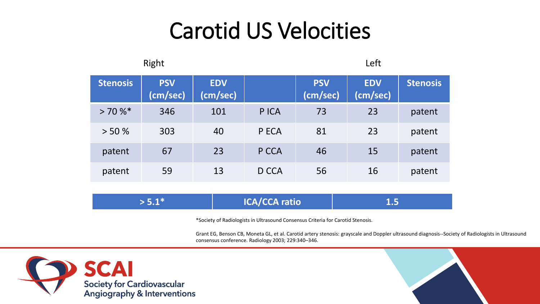### Carotid US Velocities

| Right           |                        |                        |       | Left                   |                        |                 |  |
|-----------------|------------------------|------------------------|-------|------------------------|------------------------|-----------------|--|
| <b>Stenosis</b> | <b>PSV</b><br>(cm/sec) | <b>EDV</b><br>(cm/sec) |       | <b>PSV</b><br>(cm/sec) | <b>EDV</b><br>(cm/sec) | <b>Stenosis</b> |  |
| >70%            | 346                    | 101                    | P ICA | 73                     | 23                     | patent          |  |
| > 50%           | 303                    | 40                     | P ECA | 81                     | 23                     | patent          |  |
| patent          | 67                     | 23                     | P CCA | 46                     | 15                     | patent          |  |
| patent          | 59                     | 13                     | D CCA | 56                     | 16                     | patent          |  |

| $> 5.1*$ | <b>ICA/CCA ratio</b> |  |
|----------|----------------------|--|
|----------|----------------------|--|

\*Society of Radiologists in Ultrasound Consensus Criteria for Carotid Stenosis.

Grant EG, Benson CB, Moneta GL, et al. Carotid artery stenosis: grayscale and Doppler ultrasound diagnosis--Society of Radiologists in Ultrasound consensus conference. Radiology 2003; 229:340–346.



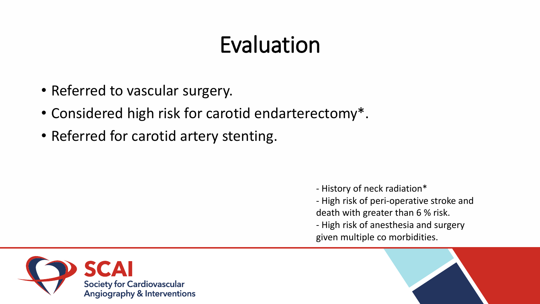### Evaluation

- Referred to vascular surgery.
- Considered high risk for carotid endarterectomy\*.
- Referred for carotid artery stenting.

- History of neck radiation\* - High risk of peri-operative stroke and death with greater than 6 % risk.

- High risk of anesthesia and surgery given multiple co morbidities.



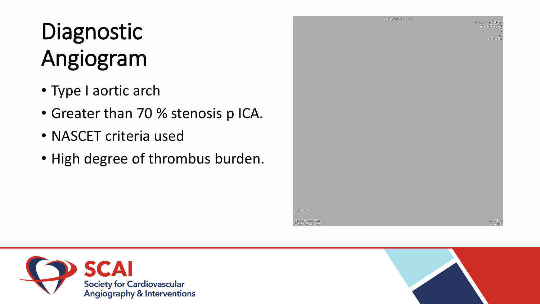## Diagnostic Angiogram

- Type I aortic arch
- Greater than 70 % stenosis p ICA.
- NASCET criteria used
- High degree of thrombus burden.





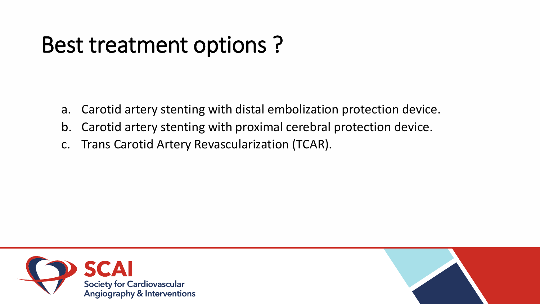### Best treatment options ?

- a. Carotid artery stenting with distal embolization protection device.
- b. Carotid artery stenting with proximal cerebral protection device.
- c. Trans Carotid Artery Revascularization (TCAR).



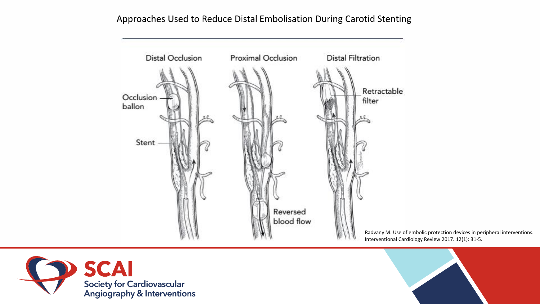Approaches Used to Reduce Distal Embolisation During Carotid Stenting



Radvany M. Use of embolic protection devices in peripheral interventions. Interventional Cardiology Review 2017. 12(1): 31-5.



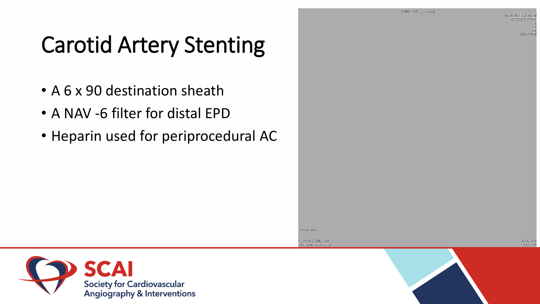SUBTRACTION (Darivad)

06/01/2021 1:47:08 PM 200010801101957

2:16:47 PM

26.16 RAO

**6.16 CAL** 

### Carotid Artery Stenting

- A 6 x 90 destination sheath
- A NAV -6 filter for distal EPD
- Heparin used for periprocedural AC



GROVER, PEEYUSH Wesley Medical Center

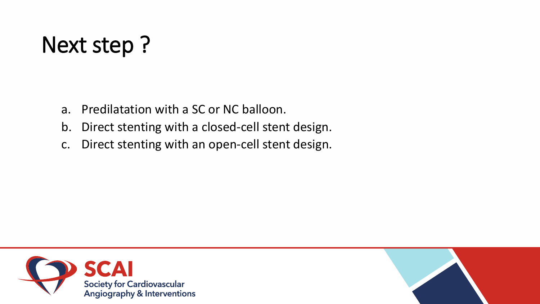### Next step ?

- a. Predilatation with a SC or NC balloon.
- b. Direct stenting with a closed-cell stent design.
- c. Direct stenting with an open-cell stent design.

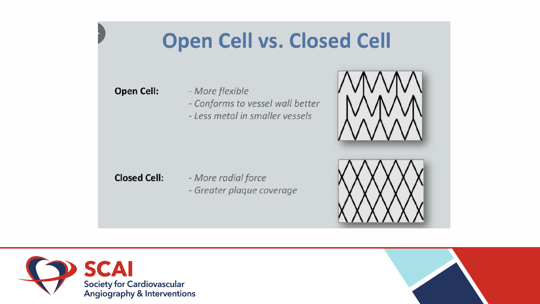### **Open Cell vs. Closed Cell**

### **Open Cell:**

- More flexible - Conforms to vessel wall better - Less metal in smaller vessels



- More radial force - Greater plaque coverage





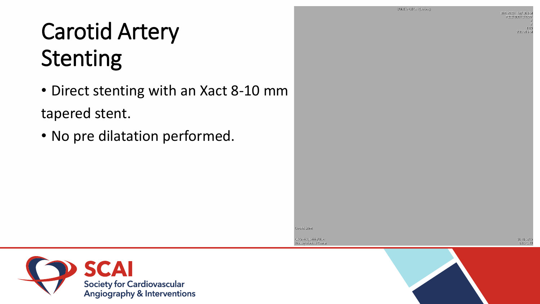SUBTRACTION (Darived)

**Carotid Stent** 

GROVER, PEEYUSH

Wesley Medical Cente

08/01/2021 1:47:08 PM R202106011219577

> $1/10$ 2:20:21 PM

26.16 RAO **6.16 CAU** 

### Carotid Artery Stenting

• Direct stenting with an Xact 8-10 mm tapered stent.

• No pre dilatation performed.

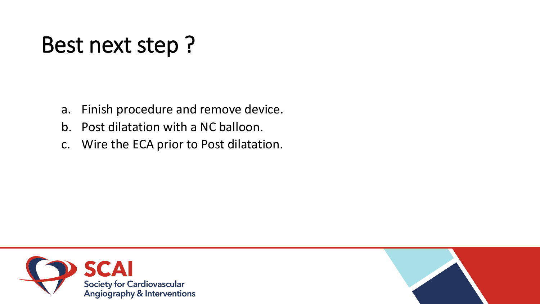### Best next step ?

- a. Finish procedure and remove device.
- b. Post dilatation with a NC balloon.
- c. Wire the ECA prior to Post dilatation.

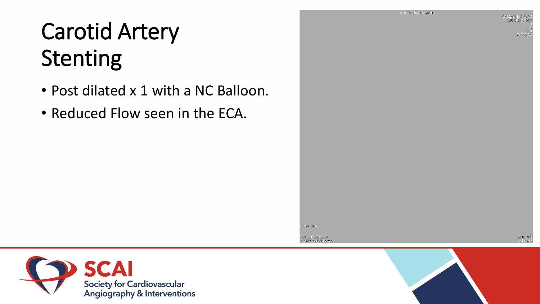## Carotid Artery Stenting

- Post dilated x 1 with a NC Balloon.
- Reduced Flow seen in the ECA.



28.18 RAC 6.16 CAL

Carotid Stent

GROVER, PEEYUSH Wesley Medical Center

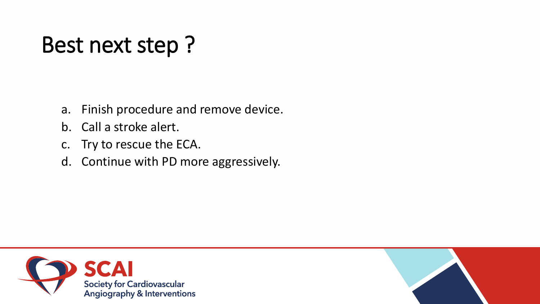### Best next step ?

- a. Finish procedure and remove device.
- b. Call a stroke alert.
- c. Try to rescue the ECA.
- d. Continue with PD more aggressively.

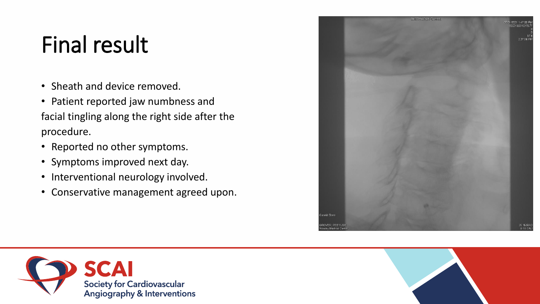### Final result

- Sheath and device removed.
- Patient reported jaw numbness and facial tingling along the right side after the procedure.
- Reported no other symptoms.
- Symptoms improved next day.
- Interventional neurology involved.
- Conservative management agreed upon.





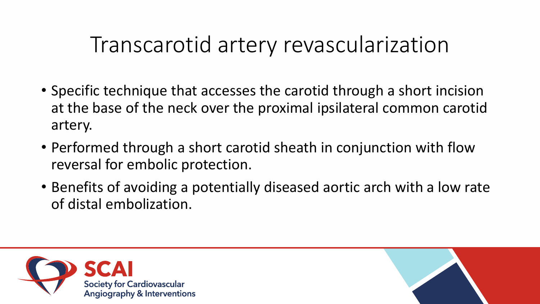### Transcarotid artery revascularization

- Specific technique that accesses the carotid through a short incision at the base of the neck over the proximal ipsilateral common carotid artery.
- Performed through a short carotid sheath in conjunction with flow reversal for embolic protection.
- Benefits of avoiding a potentially diseased aortic arch with a low rate of distal embolization.



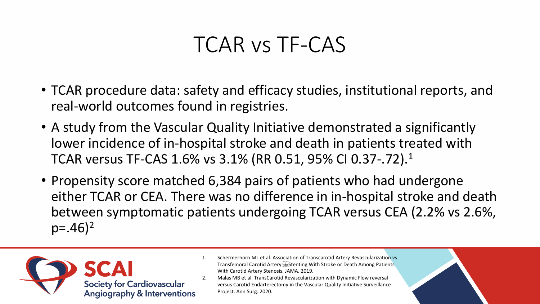### TCAR vs TF-CAS

- TCAR procedure data: safety and efficacy studies, institutional reports, and real-world outcomes found in registries.
- A study from the Vascular Quality Initiative demonstrated a significantly lower incidence of in-hospital stroke and death in patients treated with TCAR versus TF-CAS 1.6% vs 3.1% (RR 0.51, 95% CI 0.37-.72).<sup>1</sup>
- Propensity score matched 6,384 pairs of patients who had undergone either TCAR or CEA. There was no difference in in-hospital stroke and death between symptomatic patients undergoing TCAR versus CEA (2.2% vs 2.6%,  $p=.46$ <sup>2</sup>



- 1. Schermerhorn ML et al. Association of Transcarotid Artery Revascularization vs Transfemoral Carotid Artery Stenting With Stroke or Death Among Patients With Carotid Artery Stenosis. JAMA. 2019.
- 2. Malas MB et al. TransCarotid Revascularization with Dynamic Flow reversal versus Carotid Endarterectomy in the Vascular Quality Initiative Surveillance Project. Ann Surg. 2020.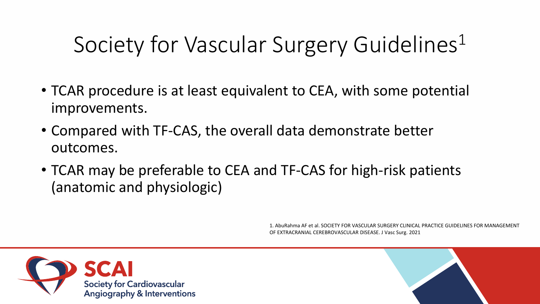### Society for Vascular Surgery Guidelines<sup>1</sup>

- TCAR procedure is at least equivalent to CEA, with some potential improvements.
- Compared with TF-CAS, the overall data demonstrate better outcomes.
- TCAR may be preferable to CEA and TF-CAS for high-risk patients (anatomic and physiologic)

1. AbuRahma AF et al. SOCIETY FOR VASCULAR SURGERY CLINICAL PRACTICE GUIDELINES FOR MANAGEMENT OF EXTRACRANIAL CEREBROVASCULAR DISEASE. J Vasc Surg. 2021



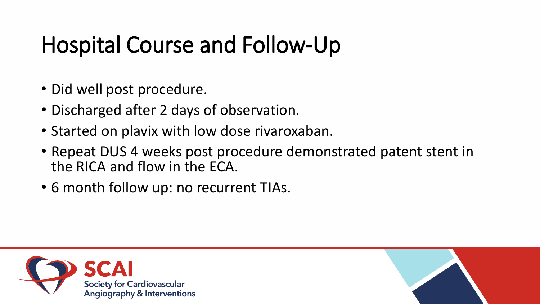### Hospital Course and Follow-Up

- Did well post procedure.
- Discharged after 2 days of observation.
- Started on plavix with low dose rivaroxaban.
- Repeat DUS 4 weeks post procedure demonstrated patent stent in the RICA and flow in the ECA.
- 6 month follow up: no recurrent TIAs.